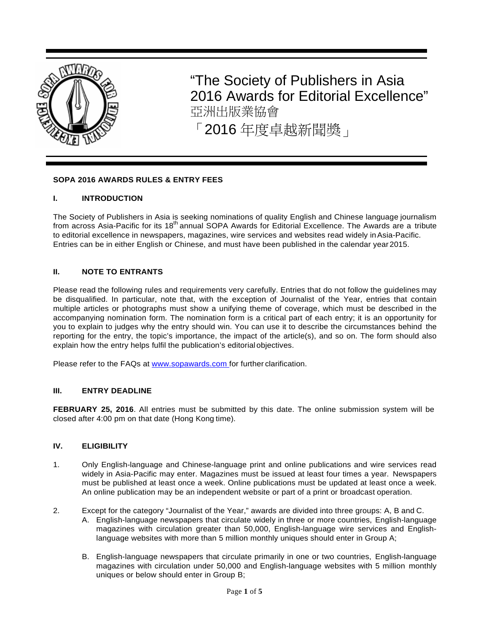

"The Society of Publishers in Asia 2016 Awards for Editorial Excellence" 亞洲出版業協會 「2016 年度卓越新聞獎」

#### **SOPA 2016 AWARDS RULES & ENTRY FEES**

#### **I. INTRODUCTION**

The Society of Publishers in Asia is seeking nominations of quality English and Chinese language journalism from across Asia-Pacific for its 18<sup>th</sup> annual SOPA Awards for Editorial Excellence. The Awards are a tribute to editorial excellence in newspapers, magazines, wire services and websites read widely inAsia-Pacific. Entries can be in either English or Chinese, and must have been published in the calendar year2015.

#### **II. NOTE TO ENTRANTS**

Please read the following rules and requirements very carefully. Entries that do not follow the guidelines may be disqualified. In particular, note that, with the exception of Journalist of the Year, entries that contain multiple articles or photographs must show a unifying theme of coverage, which must be described in the accompanying nomination form. The nomination form is a critical part of each entry; it is an opportunity for you to explain to judges why the entry should win. You can use it to describe the circumstances behind the reporting for the entry, the topic's importance, the impact of the article(s), and so on. The form should also explain how the entry helps fulfil the publication's editorial objectives.

Please refer to the FAQs at [www.sopawards.com f](http://www.sopawards.com/)or further clarification.

#### **III. ENTRY DEADLINE**

**FEBRUARY 25, 2016**. All entries must be submitted by this date. The online submission system will be closed after 4:00 pm on that date (Hong Kong time).

#### **IV. ELIGIBILITY**

- 1. Only English-language and Chinese-language print and online publications and wire services read widely in Asia-Pacific may enter. Magazines must be issued at least four times a year. Newspapers must be published at least once a week. Online publications must be updated at least once a week. An online publication may be an independent website or part of a print or broadcast operation.
- 2. Except for the category "Journalist of the Year," awards are divided into three groups: A, B and C.
	- A. English-language newspapers that circulate widely in three or more countries, English-language magazines with circulation greater than 50,000, English-language wire services and Englishlanguage websites with more than 5 million monthly uniques should enter in Group A;
	- B. English-language newspapers that circulate primarily in one or two countries, English-language magazines with circulation under 50,000 and English-language websites with 5 million monthly uniques or below should enter in Group B;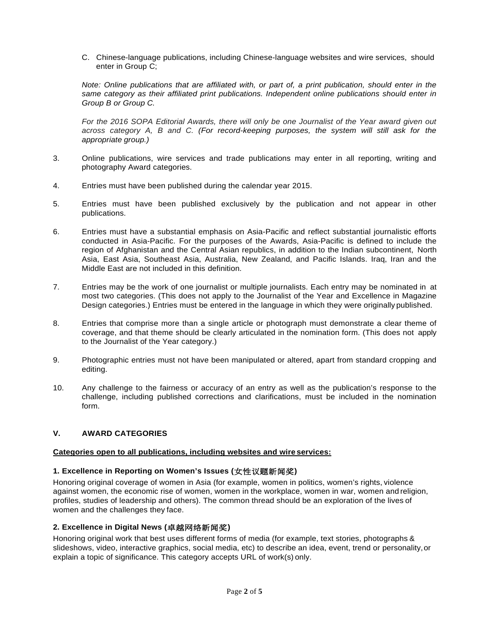C. Chinese-language publications, including Chinese-language websites and wire services, should enter in Group C;

*Note: Online publications that are affiliated with, or part of, a print publication, should enter in the* same category as their affiliated print publications. Independent online publications should enter in *Group B or Group C.*

*For the 2016 SOPA Editorial Awards, there will only be one Journalist of the Year award given out across category A, B and C. (For record-keeping purposes, the system will still ask for the appropriate group.)*

- 3. Online publications, wire services and trade publications may enter in all reporting, writing and photography Award categories.
- 4. Entries must have been published during the calendar year 2015.
- 5. Entries must have been published exclusively by the publication and not appear in other publications.
- 6. Entries must have a substantial emphasis on Asia-Pacific and reflect substantial journalistic efforts conducted in Asia-Pacific. For the purposes of the Awards, Asia-Pacific is defined to include the region of Afghanistan and the Central Asian republics, in addition to the Indian subcontinent, North Asia, East Asia, Southeast Asia, Australia, New Zealand, and Pacific Islands. Iraq, Iran and the Middle East are not included in this definition.
- 7. Entries may be the work of one journalist or multiple journalists. Each entry may be nominated in at most two categories. (This does not apply to the Journalist of the Year and Excellence in Magazine Design categories.) Entries must be entered in the language in which they were originally published.
- 8. Entries that comprise more than a single article or photograph must demonstrate a clear theme of coverage, and that theme should be clearly articulated in the nomination form. (This does not apply to the Journalist of the Year category.)
- 9. Photographic entries must not have been manipulated or altered, apart from standard cropping and editing.
- 10. Any challenge to the fairness or accuracy of an entry as well as the publication's response to the challenge, including published corrections and clarifications, must be included in the nomination form.

### **V. AWARD CATEGORIES**

#### **Categories open to all publications, including websites and wire services:**

# **1. Excellence in Reporting on Women's Issues (**女性议题新闻奖**)**

Honoring original coverage of women in Asia (for example, women in politics, women's rights, violence against women, the economic rise of women, women in the workplace, women in war, women and religion, profiles, studies of leadership and others). The common thread should be an exploration of the lives of women and the challenges they face.

### **2. Excellence in Digital News (**卓越网络新闻奖**)**

Honoring original work that best uses different forms of media (for example, text stories, photographs & slideshows, video, interactive graphics, social media, etc) to describe an idea, event, trend or personality,or explain a topic of significance. This category accepts URL of work(s) only.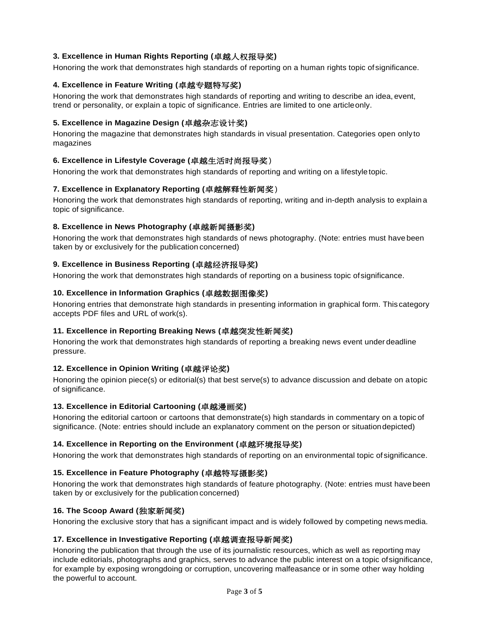## **3. Excellence in Human Rights Reporting (**卓越人权报导奖**)**

Honoring the work that demonstrates high standards of reporting on a human rights topic of significance.

# **4. Excellence in Feature Writing (**卓越专题特写奖**)**

Honoring the work that demonstrates high standards of reporting and writing to describe an idea, event, trend or personality, or explain a topic of significance. Entries are limited to one articleonly.

### **5. Excellence in Magazine Design (**卓越杂志设计奖**)**

Honoring the magazine that demonstrates high standards in visual presentation. Categories open only to magazines

## **6. Excellence in Lifestyle Coverage (**卓越生活时尚报导奖 )

Honoring the work that demonstrates high standards of reporting and writing on a lifestyletopic.

### **7. Excellence in Explanatory Reporting (**卓越解释性新闻奖 )

Honoring the work that demonstrates high standards of reporting, writing and in-depth analysis to explain a topic of significance.

### **8. Excellence in News Photography (**卓越新闻摄影奖**)**

Honoring the work that demonstrates high standards of news photography. (Note: entries must have been taken by or exclusively for the publication concerned)

### **9. Excellence in Business Reporting (**卓越经济报导奖**)**

Honoring the work that demonstrates high standards of reporting on a business topic ofsignificance.

### **10. Excellence in Information Graphics (**卓越数据图像奖**)**

Honoring entries that demonstrate high standards in presenting information in graphical form. This category accepts PDF files and URL of work(s).

### **11. Excellence in Reporting Breaking News (**卓越突发性新闻奖**)**

Honoring the work that demonstrates high standards of reporting a breaking news event under deadline pressure.

### **12. Excellence in Opinion Writing (**卓越评论奖**)**

Honoring the opinion piece(s) or editorial(s) that best serve(s) to advance discussion and debate on atopic of significance.

### **13. Excellence in Editorial Cartooning (**卓越漫画奖**)**

Honoring the editorial cartoon or cartoons that demonstrate(s) high standards in commentary on a topic of significance. (Note: entries should include an explanatory comment on the person or situationdepicted)

### **14. Excellence in Reporting on the Environment (**卓越环境报导奖**)**

Honoring the work that demonstrates high standards of reporting on an environmental topic of significance.

### **15. Excellence in Feature Photography (**卓越特写摄影奖**)**

Honoring the work that demonstrates high standards of feature photography. (Note: entries must havebeen taken by or exclusively for the publication concerned)

# **16. The Scoop Award (**独家新闻奖**)**

Honoring the exclusive story that has a significant impact and is widely followed by competing news media.

### **17. Excellence in Investigative Reporting (**卓越调查报导新闻奖**)**

Honoring the publication that through the use of its journalistic resources, which as well as reporting may include editorials, photographs and graphics, serves to advance the public interest on a topic ofsignificance, for example by exposing wrongdoing or corruption, uncovering malfeasance or in some other way holding the powerful to account.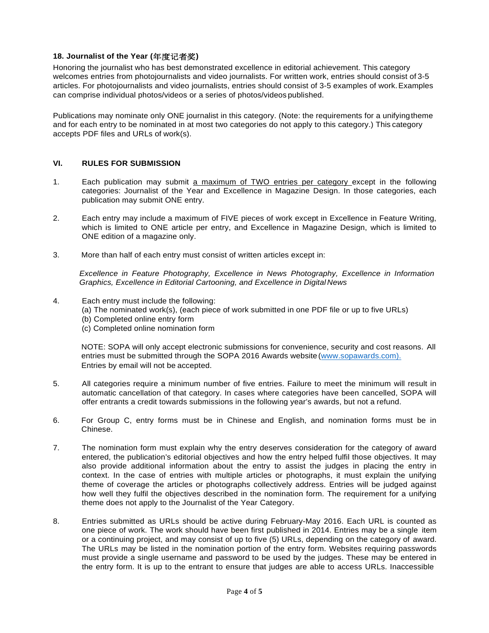#### **18. Journalist of the Year (**年度记者奖**)**

Honoring the journalist who has best demonstrated excellence in editorial achievement. This category welcomes entries from photojournalists and video journalists. For written work, entries should consist of 3-5 articles. For photojournalists and video journalists, entries should consist of 3-5 examples of work.Examples can comprise individual photos/videos or a series of photos/videos published.

Publications may nominate only ONE journalist in this category. (Note: the requirements for a unifyingtheme and for each entry to be nominated in at most two categories do not apply to this category.) This category accepts PDF files and URLs of work(s).

#### **VI. RULES FOR SUBMISSION**

- 1. Each publication may submit a maximum of TWO entries per category except in the following categories: Journalist of the Year and Excellence in Magazine Design. In those categories, each publication may submit ONE entry.
- 2. Each entry may include a maximum of FIVE pieces of work except in Excellence in Feature Writing, which is limited to ONE article per entry, and Excellence in Magazine Design, which is limited to ONE edition of a magazine only.
- 3. More than half of each entry must consist of written articles except in:

*Excellence in Feature Photography, Excellence in News Photography, Excellence in Information Graphics, Excellence in Editorial Cartooning, and Excellence in Digital News*

- 4. Each entry must include the following:
	- (a) The nominated work(s), (each piece of work submitted in one PDF file or up to five URLs)
	- (b) Completed online entry form
	- (c) Completed online nomination form

NOTE: SOPA will only accept electronic submissions for convenience, security and cost reasons. All entries must be submitted through the SOPA 2016 Awards website [\(www.sopawards.com\).](http://www.sopawards.com)./) Entries by email will not be accepted.

- 5. All categories require a minimum number of five entries. Failure to meet the minimum will result in automatic cancellation of that category. In cases where categories have been cancelled, SOPA will offer entrants a credit towards submissions in the following year's awards, but not a refund.
- 6. For Group C, entry forms must be in Chinese and English, and nomination forms must be in Chinese.
- 7. The nomination form must explain why the entry deserves consideration for the category of award entered, the publication's editorial objectives and how the entry helped fulfil those objectives. It may also provide additional information about the entry to assist the judges in placing the entry in context. In the case of entries with multiple articles or photographs, it must explain the unifying theme of coverage the articles or photographs collectively address. Entries will be judged against how well they fulfil the objectives described in the nomination form. The requirement for a unifying theme does not apply to the Journalist of the Year Category.
- 8. Entries submitted as URLs should be active during February-May 2016. Each URL is counted as one piece of work. The work should have been first published in 2014. Entries may be a single item or a continuing project, and may consist of up to five (5) URLs, depending on the category of award. The URLs may be listed in the nomination portion of the entry form. Websites requiring passwords must provide a single username and password to be used by the judges. These may be entered in the entry form. It is up to the entrant to ensure that judges are able to access URLs. Inaccessible